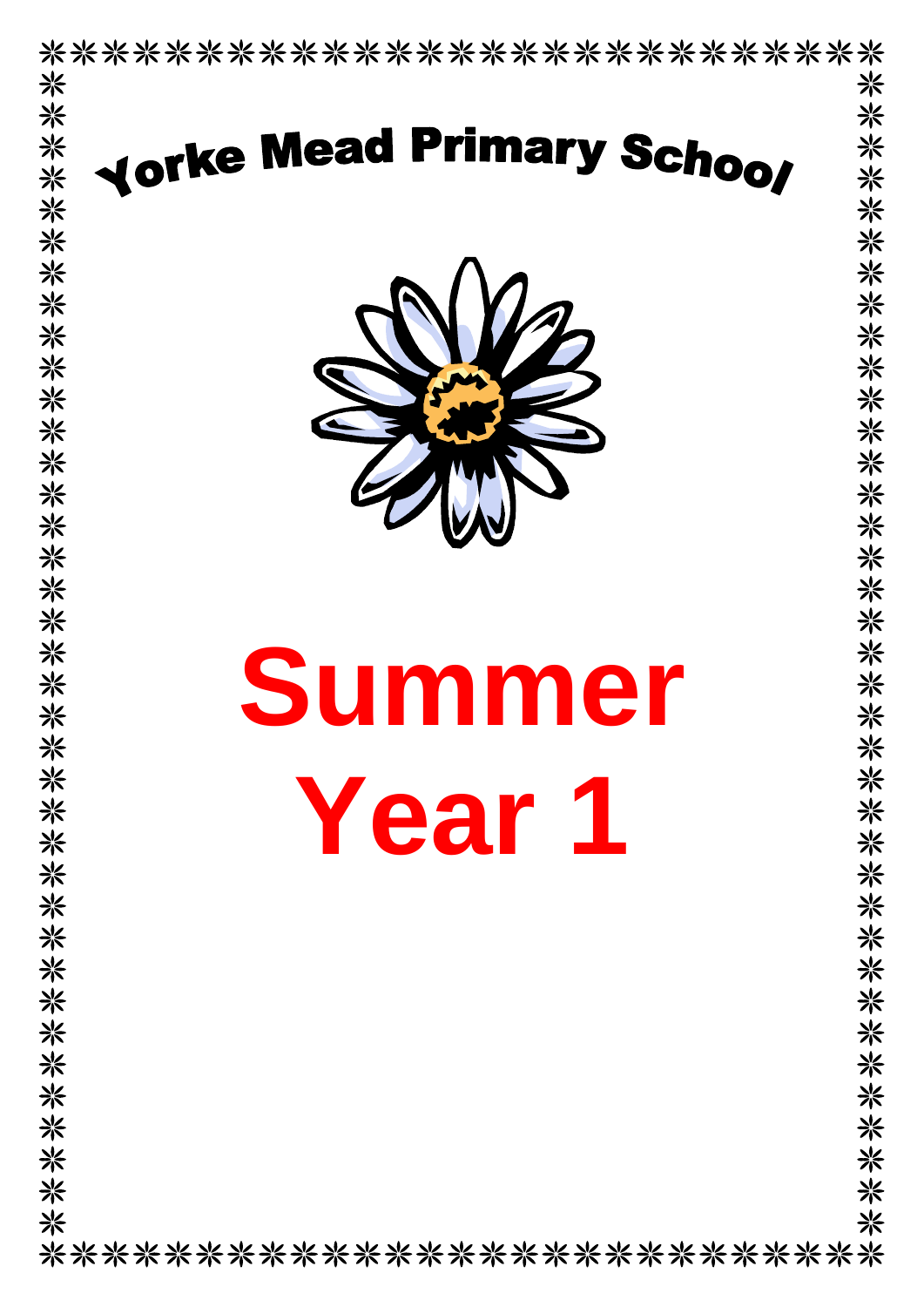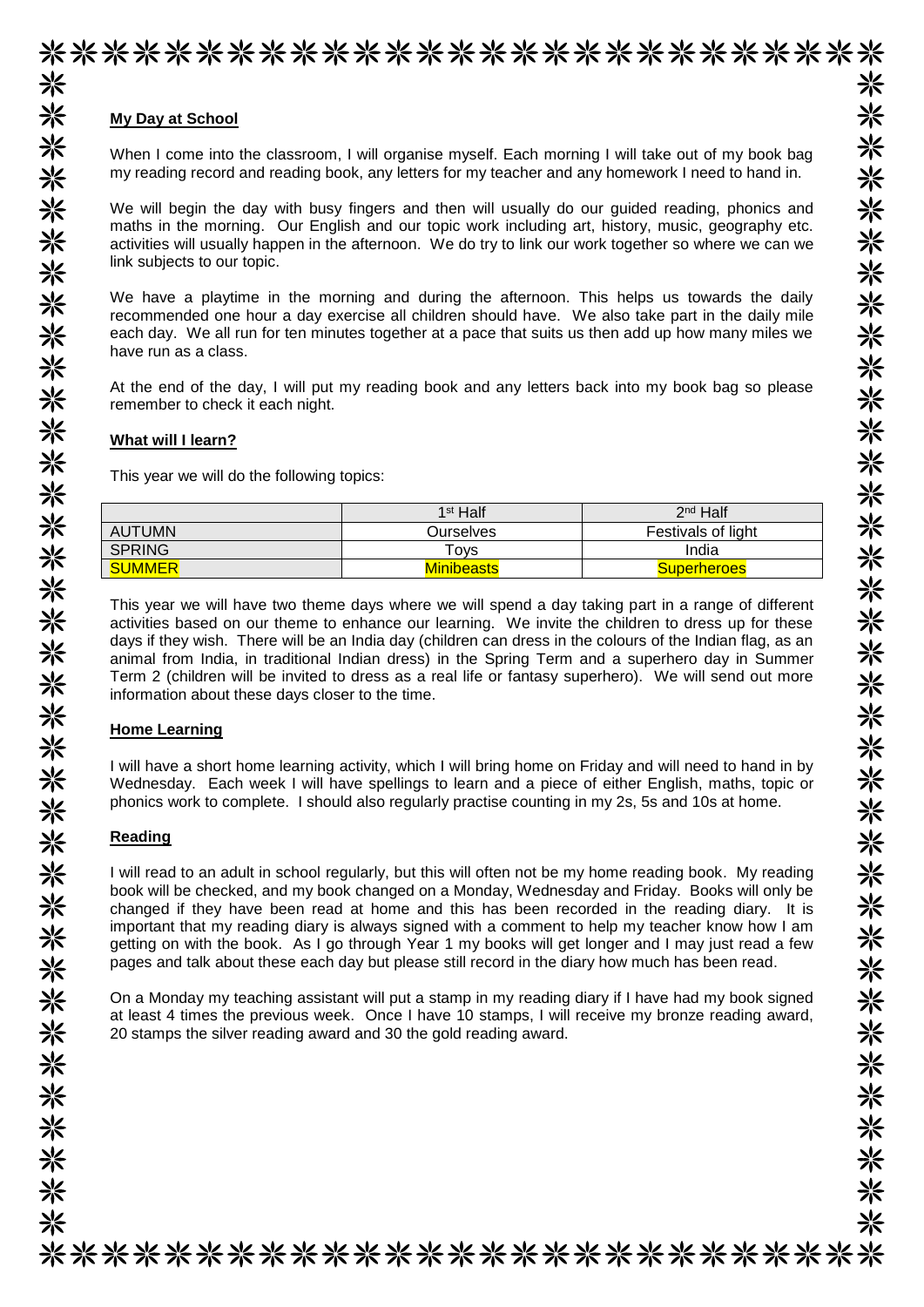## **My Day at School**

When I come into the classroom, I will organise myself. Each morning I will take out of my book bag my reading record and reading book, any letters for my teacher and any homework I need to hand in.

We will begin the day with busy fingers and then will usually do our guided reading, phonics and maths in the morning. Our English and our topic work including art, history, music, geography etc. activities will usually happen in the afternoon. We do try to link our work together so where we can we link subjects to our topic.

We have a playtime in the morning and during the afternoon. This helps us towards the daily recommended one hour a day exercise all children should have. We also take part in the daily mile each day. We all run for ten minutes together at a pace that suits us then add up how many miles we have run as a class.

At the end of the day, I will put my reading book and any letters back into my book bag so please remember to check it each night.

#### **What will I learn?**

This year we will do the following topics:

|               | 1 <sup>st</sup> Half | 2 <sup>nd</sup> Half |
|---------------|----------------------|----------------------|
| <b>AUTUMN</b> | Ourselves            | Festivals of light   |
| <b>SPRING</b> | Toys                 | India                |
| <b>SUMMER</b> | <b>Minibeasts</b>    | <b>Superheroes</b>   |

This year we will have two theme days where we will spend a day taking part in a range of different activities based on our theme to enhance our learning. We invite the children to dress up for these days if they wish. There will be an India day (children can dress in the colours of the Indian flag, as an animal from India, in traditional Indian dress) in the Spring Term and a superhero day in Summer Term 2 (children will be invited to dress as a real life or fantasy superhero). We will send out more information about these days closer to the time.

#### **Home Learning**

I will have a short home learning activity, which I will bring home on Friday and will need to hand in by Wednesday. Each week I will have spellings to learn and a piece of either English, maths, topic or phonics work to complete. I should also regularly practise counting in my 2s, 5s and 10s at home.

#### **Reading**

I will read to an adult in school regularly, but this will often not be my home reading book. My reading book will be checked, and my book changed on a Monday, Wednesday and Friday. Books will only be changed if they have been read at home and this has been recorded in the reading diary. It is important that my reading diary is always signed with a comment to help my teacher know how I am getting on with the book. As I go through Year 1 my books will get longer and I may just read a few pages and talk about these each day but please still record in the diary how much has been read.

On a Monday my teaching assistant will put a stamp in my reading diary if I have had my book signed at least 4 times the previous week. Once I have 10 stamps, I will receive my bronze reading award, 20 stamps the silver reading award and 30 the gold reading award.